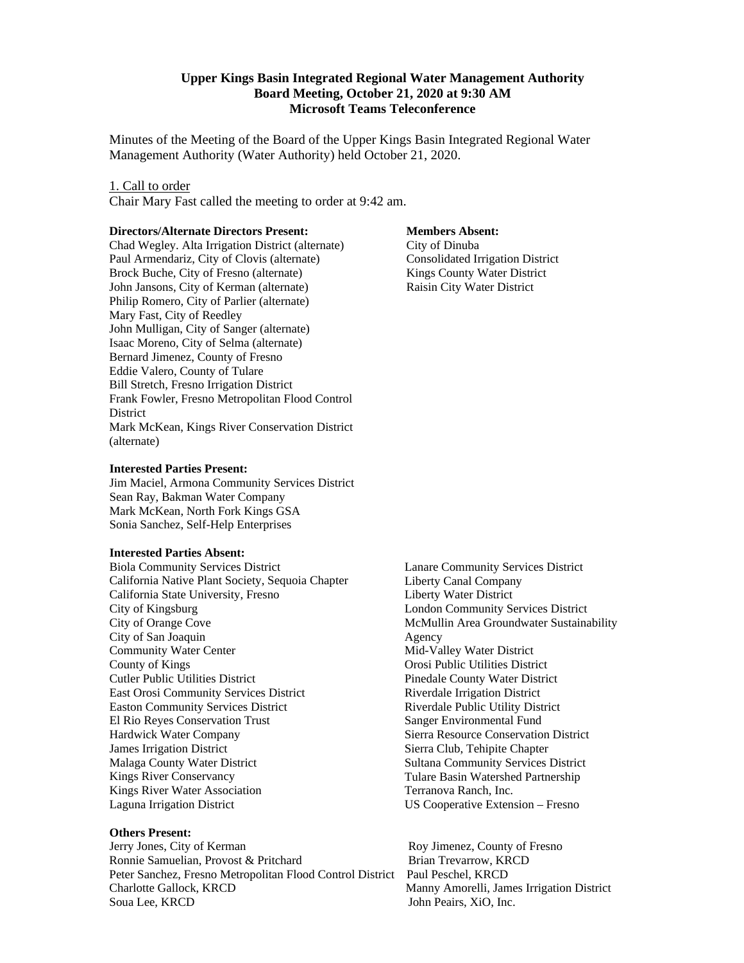## **Upper Kings Basin Integrated Regional Water Management Authority Board Meeting, October 21, 2020 at 9:30 AM Microsoft Teams Teleconference**

Minutes of the Meeting of the Board of the Upper Kings Basin Integrated Regional Water Management Authority (Water Authority) held October 21, 2020.

### 1. Call to order

Chair Mary Fast called the meeting to order at 9:42 am.

### **Directors/Alternate Directors Present:**

Chad Wegley. Alta Irrigation District (alternate) Paul Armendariz, City of Clovis (alternate) Brock Buche, City of Fresno (alternate) John Jansons, City of Kerman (alternate) Philip Romero, City of Parlier (alternate) Mary Fast, City of Reedley John Mulligan, City of Sanger (alternate) Isaac Moreno, City of Selma (alternate) Bernard Jimenez, County of Fresno Eddie Valero, County of Tulare Bill Stretch, Fresno Irrigation District Frank Fowler, Fresno Metropolitan Flood Control **District** Mark McKean, Kings River Conservation District (alternate)

### **Interested Parties Present:**

Jim Maciel, Armona Community Services District Sean Ray, Bakman Water Company Mark McKean, North Fork Kings GSA Sonia Sanchez, Self-Help Enterprises

### **Interested Parties Absent:**

Biola Community Services District California Native Plant Society, Sequoia Chapter California State University, Fresno City of Kingsburg City of Orange Cove City of San Joaquin Community Water Center County of Kings Cutler Public Utilities District East Orosi Community Services District Easton Community Services District El Rio Reyes Conservation Trust Hardwick Water Company James Irrigation District Malaga County Water District Kings River Conservancy Kings River Water Association Laguna Irrigation District

### **Others Present:**

Jerry Jones, City of Kerman Roy Jimenez, County of Fresno Ronnie Samuelian, Provost & Pritchard Brian Trevarrow, KRCD Peter Sanchez, Fresno Metropolitan Flood Control District Paul Peschel, KRCD Soua Lee, KRCD John Peairs, XiO, Inc.

#### **Members Absent:**

 City of Dinuba Consolidated Irrigation District Kings County Water District Raisin City Water District

Lanare Community Services District Liberty Canal Company Liberty Water District London Community Services District McMullin Area Groundwater Sustainability Agency Mid-Valley Water District Orosi Public Utilities District Pinedale County Water District Riverdale Irrigation District Riverdale Public Utility District Sanger Environmental Fund Sierra Resource Conservation District Sierra Club, Tehipite Chapter Sultana Community Services District Tulare Basin Watershed Partnership Terranova Ranch, Inc. US Cooperative Extension – Fresno

Manny Amorelli, James Irrigation District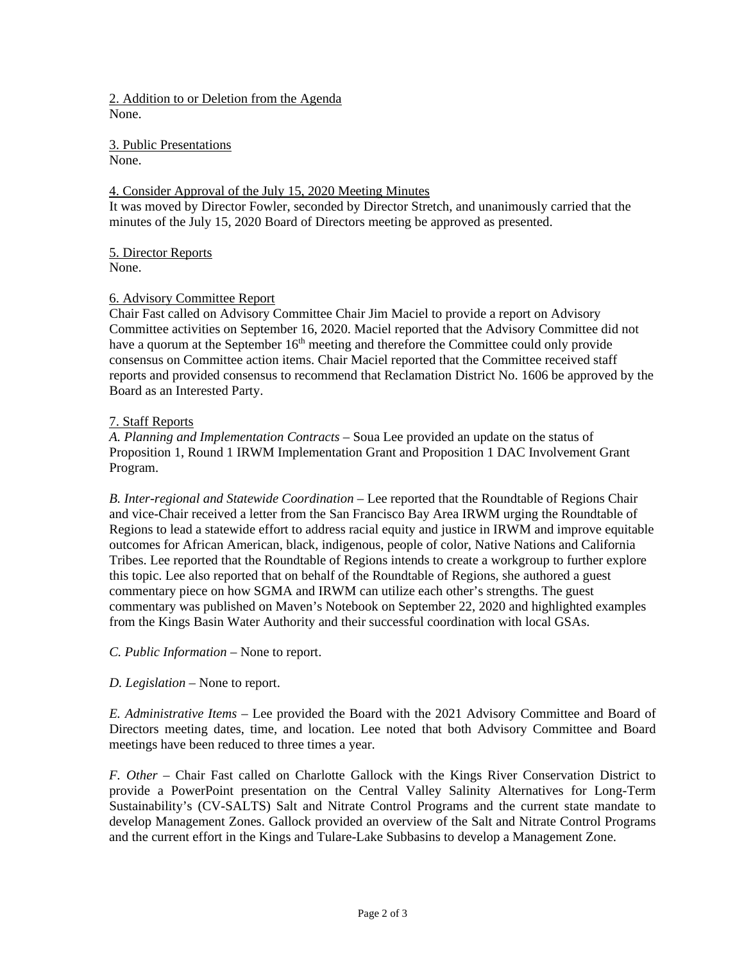2. Addition to or Deletion from the Agenda None.

3. Public Presentations None.

### 4. Consider Approval of the July 15, 2020 Meeting Minutes

It was moved by Director Fowler, seconded by Director Stretch, and unanimously carried that the minutes of the July 15, 2020 Board of Directors meeting be approved as presented.

5. Director Reports None.

# 6. Advisory Committee Report

Chair Fast called on Advisory Committee Chair Jim Maciel to provide a report on Advisory Committee activities on September 16, 2020. Maciel reported that the Advisory Committee did not have a quorum at the September  $16<sup>th</sup>$  meeting and therefore the Committee could only provide consensus on Committee action items. Chair Maciel reported that the Committee received staff reports and provided consensus to recommend that Reclamation District No. 1606 be approved by the Board as an Interested Party.

## 7. Staff Reports

*A. Planning and Implementation Contracts* – Soua Lee provided an update on the status of Proposition 1, Round 1 IRWM Implementation Grant and Proposition 1 DAC Involvement Grant Program.

*B. Inter-regional and Statewide Coordination* – Lee reported that the Roundtable of Regions Chair and vice-Chair received a letter from the San Francisco Bay Area IRWM urging the Roundtable of Regions to lead a statewide effort to address racial equity and justice in IRWM and improve equitable outcomes for African American, black, indigenous, people of color, Native Nations and California Tribes. Lee reported that the Roundtable of Regions intends to create a workgroup to further explore this topic. Lee also reported that on behalf of the Roundtable of Regions, she authored a guest commentary piece on how SGMA and IRWM can utilize each other's strengths. The guest commentary was published on Maven's Notebook on September 22, 2020 and highlighted examples from the Kings Basin Water Authority and their successful coordination with local GSAs.

*C. Public Information –* None to report.

*D. Legislation –* None to report.

*E. Administrative Items –* Lee provided the Board with the 2021 Advisory Committee and Board of Directors meeting dates, time, and location. Lee noted that both Advisory Committee and Board meetings have been reduced to three times a year.

*F. Other –* Chair Fast called on Charlotte Gallock with the Kings River Conservation District to provide a PowerPoint presentation on the Central Valley Salinity Alternatives for Long-Term Sustainability's (CV-SALTS) Salt and Nitrate Control Programs and the current state mandate to develop Management Zones. Gallock provided an overview of the Salt and Nitrate Control Programs and the current effort in the Kings and Tulare-Lake Subbasins to develop a Management Zone.